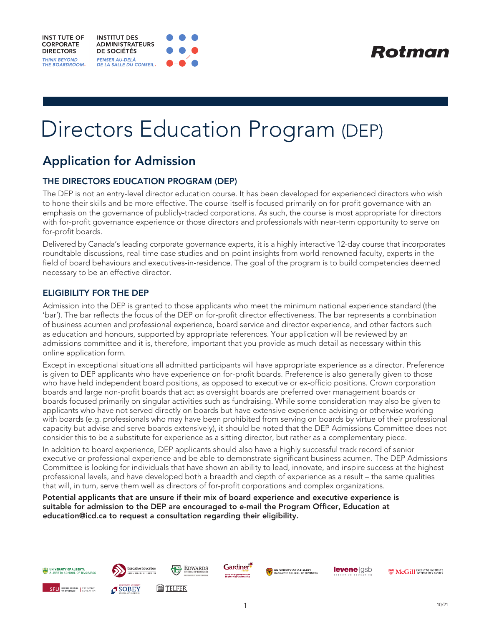





# Directors Education Program (DEP)

# Application for Admission

### THE DIRECTORS EDUCATION PROGRAM (DEP)

The DEP is not an entry-level director education course. It has been developed for experienced directors who wish to hone their skills and be more effective. The course itself is focused primarily on for-profit governance with an emphasis on the governance of publicly-traded corporations. As such, the course is most appropriate for directors with for-profit governance experience or those directors and professionals with near-term opportunity to serve on for-profit boards.

Delivered by Canada's leading corporate governance experts, it is a highly interactive 12-day course that incorporates roundtable discussions, real-time case studies and on-point insights from world-renowned faculty, experts in the field of board behaviours and executives-in-residence. The goal of the program is to build competencies deemed necessary to be an effective director.

#### ELIGIBILITY FOR THE DEP

Admission into the DEP is granted to those applicants who meet the minimum national experience standard (the 'bar'). The bar reflects the focus of the DEP on for-profit director effectiveness. The bar represents a combination of business acumen and professional experience, board service and director experience, and other factors such as education and honours, supported by appropriate references. Your application will be reviewed by an admissions committee and it is, therefore, important that you provide as much detail as necessary within this online application form.

Except in exceptional situations all admitted participants will have appropriate experience as a director. Preference is given to DEP applicants who have experience on for-profit boards. Preference is also generally given to those who have held independent board positions, as opposed to executive or ex-officio positions. Crown corporation boards and large non-profit boards that act as oversight boards are preferred over management boards or boards focused primarily on singular activities such as fundraising. While some consideration may also be given to applicants who have not served directly on boards but have extensive experience advising or otherwise working with boards (e.g. professionals who may have been prohibited from serving on boards by virtue of their professional capacity but advise and serve boards extensively), it should be noted that the DEP Admissions Committee does not consider this to be a substitute for experience as a sitting director, but rather as a complementary piece.

In addition to board experience, DEP applicants should also have a highly successful track record of senior executive or professional experience and be able to demonstrate significant business acumen. The DEP Admissions Committee is looking for individuals that have shown an ability to lead, innovate, and inspire success at the highest professional levels, and have developed both a breadth and depth of experience as a result – the same qualities that will, in turn, serve them well as directors of for-profit corporations and complex organizations.

Potential applicants that are unsure if their mix of board experience and executive experience is suitable for admission to the DEP are encouraged to e-mail the Program Officer, Education at education@icd.ca to request a consultation regarding their eligibility.

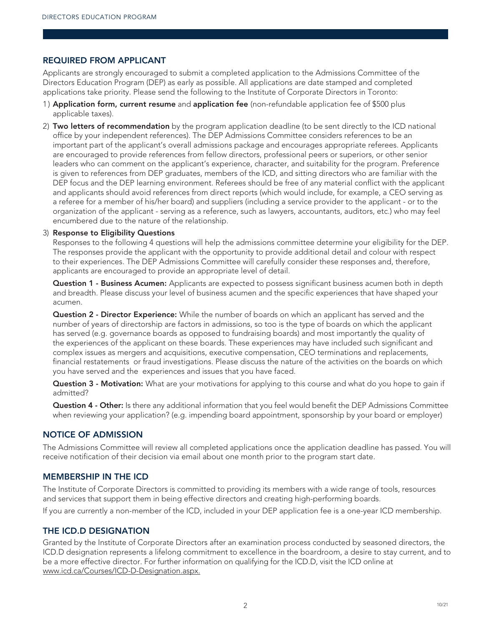#### REQUIRED FROM APPLICANT

Applicants are strongly encouraged to submit a completed application to the Admissions Committee of the Directors Education Program (DEP) as early as possible. All applications are date stamped and completed applications take priority. Please send the following to the Institute of Corporate Directors in Toronto:

- 1) Application form, current resume and application fee (non-refundable application fee of \$500 plus applicable taxes).
- 2) Two letters of recommendation by the program application deadline (to be sent directly to the ICD national office by your independent references). The DEP Admissions Committee considers references to be an important part of the applicant's overall admissions package and encourages appropriate referees. Applicants are encouraged to provide references from fellow directors, professional peers or superiors, or other senior leaders who can comment on the applicant's experience, character, and suitability for the program. Preference is given to references from DEP graduates, members of the ICD, and sitting directors who are familiar with the DEP focus and the DEP learning environment. Referees should be free of any material conflict with the applicant and applicants should avoid references from direct reports (which would include, for example, a CEO serving as a referee for a member of his/her board) and suppliers (including a service provider to the applicant - or to the organization of the applicant - serving as a reference, such as lawyers, accountants, auditors, etc.) who may feel encumbered due to the nature of the relationship.

#### 3) Response to Eligibility Questions

 Responses to the following 4 questions will help the admissions committee determine your eligibility for the DEP. The responses provide the applicant with the opportunity to provide additional detail and colour with respect to their experiences. The DEP Admissions Committee will carefully consider these responses and, therefore, applicants are encouraged to provide an appropriate level of detail.

Question 1 - Business Acumen: Applicants are expected to possess significant business acumen both in depth and breadth. Please discuss your level of business acumen and the specific experiences that have shaped your acumen.

**Question 2 - Director Experience:** While the number of boards on which an applicant has served and the number of years of directorship are factors in admissions, so too is the type of boards on which the applicant has served (e.g. governance boards as opposed to fundraising boards) and most importantly the quality of the experiences of the applicant on these boards. These experiences may have included such significant and complex issues as mergers and acquisitions, executive compensation, CEO terminations and replacements, financial restatements or fraud investigations. Please discuss the nature of the activities on the boards on which you have served and the experiences and issues that you have faced.

Question 3 - Motivation: What are your motivations for applying to this course and what do you hope to gain if admitted?

**Question 4 - Other:** Is there any additional information that you feel would benefit the DEP Admissions Committee when reviewing your application? (e.g. impending board appointment, sponsorship by your board or employer)

#### NOTICE OF ADMISSION

The Admissions Committee will review all completed applications once the application deadline has passed. You will receive notification of their decision via email about one month prior to the program start date.

#### MEMBERSHIP IN THE ICD

The Institute of Corporate Directors is committed to providing its members with a wide range of tools, resources and services that support them in being effective directors and creating high-performing boards.

If you are currently a non-member of the ICD, included in your DEP application fee is a one-year ICD membership.

#### THE ICD.D DESIGNATION

Granted by the Institute of Corporate Directors after an examination process conducted by seasoned directors, the ICD.D designation represents a lifelong commitment to excellence in the boardroom, a desire to stay current, and to be a more effective director. For further information on qualifying for the ICD.D, visit the ICD online at www.icd.ca/Courses/ICD-D-Designation.aspx.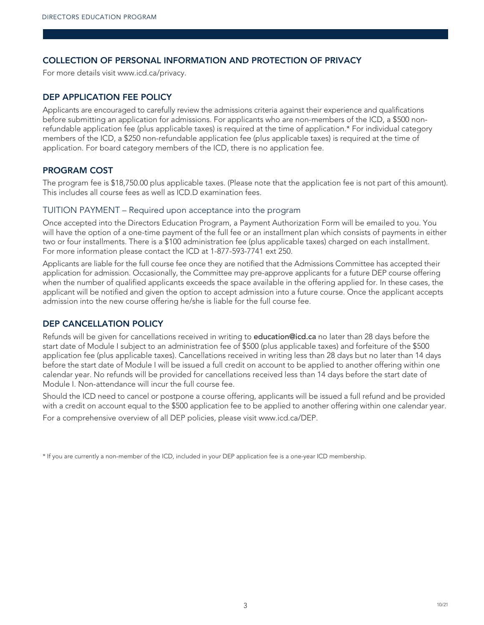#### COLLECTION OF PERSONAL INFORMATION AND PROTECTION OF PRIVACY

For more details visit www.icd.ca/privacy.

#### DEP APPLICATION FEE POLICY

Applicants are encouraged to carefully review the admissions criteria against their experience and qualifications before submitting an application for admissions. For applicants who are non-members of the ICD, a \$500 nonrefundable application fee (plus applicable taxes) is required at the time of application.\* For individual category members of the ICD, a \$250 non-refundable application fee (plus applicable taxes) is required at the time of application. For board category members of the ICD, there is no application fee.

#### PROGRAM COST

The program fee is \$18,750.00 plus applicable taxes. (Please note that the application fee is not part of this amount). This includes all course fees as well as ICD.D examination fees.

#### TUITION PAYMENT – Required upon acceptance into the program

Once accepted into the Directors Education Program, a Payment Authorization Form will be emailed to you. You will have the option of a one-time payment of the full fee or an installment plan which consists of payments in either two or four installments. There is a \$100 administration fee (plus applicable taxes) charged on each installment. For more information please contact the ICD at 1-877-593-7741 ext 250.

Applicants are liable for the full course fee once they are notified that the Admissions Committee has accepted their application for admission. Occasionally, the Committee may pre-approve applicants for a future DEP course offering when the number of qualified applicants exceeds the space available in the offering applied for. In these cases, the applicant will be notified and given the option to accept admission into a future course. Once the applicant accepts admission into the new course offering he/she is liable for the full course fee.

#### DEP CANCELLATION POLICY

Refunds will be given for cancellations received in writing to education@icd.ca no later than 28 days before the start date of Module I subject to an administration fee of \$500 (plus applicable taxes) and forfeiture of the \$500 application fee (plus applicable taxes). Cancellations received in writing less than 28 days but no later than 14 days before the start date of Module I will be issued a full credit on account to be applied to another offering within one calendar year. No refunds will be provided for cancellations received less than 14 days before the start date of Module I. Non-attendance will incur the full course fee.

Should the ICD need to cancel or postpone a course offering, applicants will be issued a full refund and be provided with a credit on account equal to the \$500 application fee to be applied to another offering within one calendar year. For a comprehensive overview of all DEP policies, please visit www.icd.ca/DEP.

\* If you are currently a non-member of the ICD, included in your DEP application fee is a one-year ICD membership.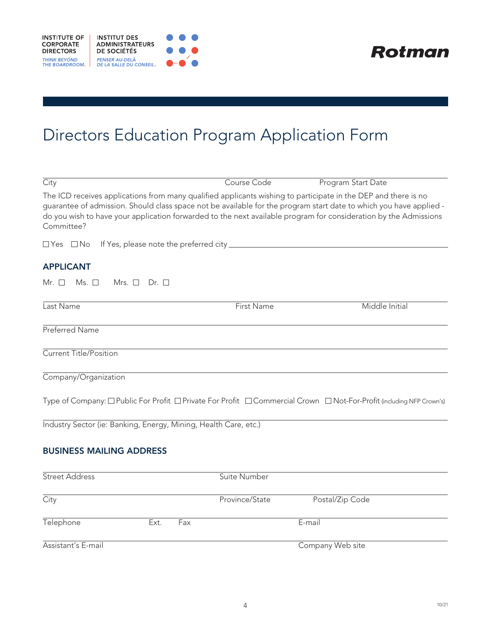



# Directors Education Program Application Form

| City                                                                                                                         | Course Code       | Program Start Date                                                                                                                                                                                                                     |
|------------------------------------------------------------------------------------------------------------------------------|-------------------|----------------------------------------------------------------------------------------------------------------------------------------------------------------------------------------------------------------------------------------|
| The ICD receives applications from many qualified applicants wishing to participate in the DEP and there is no<br>Committee? |                   | guarantee of admission. Should class space not be available for the program start date to which you have applied -<br>do you wish to have your application forwarded to the next available program for consideration by the Admissions |
| $\Box$ Yes $\Box$ No                                                                                                         |                   |                                                                                                                                                                                                                                        |
| <b>APPLICANT</b>                                                                                                             |                   |                                                                                                                                                                                                                                        |
| $Ms.$ $\square$<br>Mrs. $\Box$ Dr. $\Box$<br>Mr. $\square$                                                                   |                   |                                                                                                                                                                                                                                        |
| Last Name                                                                                                                    | <b>First Name</b> | Middle Initial                                                                                                                                                                                                                         |
| Preferred Name                                                                                                               |                   |                                                                                                                                                                                                                                        |
| <b>Current Title/Position</b>                                                                                                |                   |                                                                                                                                                                                                                                        |
| Company/Organization                                                                                                         |                   |                                                                                                                                                                                                                                        |
|                                                                                                                              |                   | Type of Company: $\Box$ Public For Profit $\Box$ Private For Profit $\Box$ Commercial Crown $\Box$ Not-For-Profit (including NFP Crown's)                                                                                              |
| Industry Sector (ie: Banking, Energy, Mining, Health Care, etc.)                                                             |                   |                                                                                                                                                                                                                                        |
| <b>BUSINESS MAILING ADDRESS</b>                                                                                              |                   |                                                                                                                                                                                                                                        |
| Street Address                                                                                                               | Suite Number      |                                                                                                                                                                                                                                        |
| City                                                                                                                         | Province/State    | Postal/Zip Code                                                                                                                                                                                                                        |

Assistant's E-mail Company Web site

Telephone Ext. Fax E-mail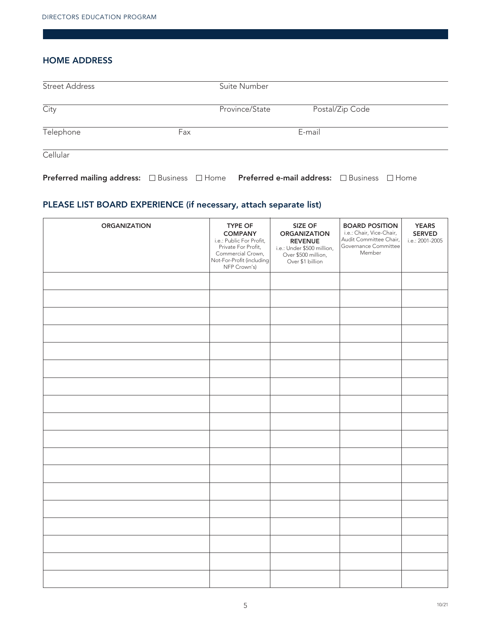#### HOME ADDRESS

| <b>Street Address</b>                                                                                  |     | Suite Number   |        |                 |  |
|--------------------------------------------------------------------------------------------------------|-----|----------------|--------|-----------------|--|
| City                                                                                                   |     | Province/State |        | Postal/Zip Code |  |
| Telephone                                                                                              | Fax |                | E-mail |                 |  |
| Cellular                                                                                               |     |                |        |                 |  |
| <b>Preferred mailing address:</b> □ Business □ Home <b>Preferred e-mail address:</b> □ Business □ Home |     |                |        |                 |  |

# PLEASE LIST BOARD EXPERIENCE (if necessary, attach separate list)

| <b>ORGANIZATION</b> | <b>TYPE OF</b><br><b>COMPANY</b><br>i.e.: Public For Profit,<br>Private For Profit,<br>Commercial Crown,<br>Not-For-Profit (including<br>NFP Crown's) | SIZE OF<br><b>ORGANIZATION</b><br><b>REVENUE</b><br>i.e.: Under \$500 million,<br>Over \$500 million,<br>Over \$1 billion | <b>BOARD POSITION</b><br>i.e.: Chair, Vice-Chair,<br>Audit Committee Chair,<br>Governance Committee<br>Member | <b>YEARS</b><br>SERVED<br>i.e.: 2001-2005 |
|---------------------|-------------------------------------------------------------------------------------------------------------------------------------------------------|---------------------------------------------------------------------------------------------------------------------------|---------------------------------------------------------------------------------------------------------------|-------------------------------------------|
|                     |                                                                                                                                                       |                                                                                                                           |                                                                                                               |                                           |
|                     |                                                                                                                                                       |                                                                                                                           |                                                                                                               |                                           |
|                     |                                                                                                                                                       |                                                                                                                           |                                                                                                               |                                           |
|                     |                                                                                                                                                       |                                                                                                                           |                                                                                                               |                                           |
|                     |                                                                                                                                                       |                                                                                                                           |                                                                                                               |                                           |
|                     |                                                                                                                                                       |                                                                                                                           |                                                                                                               |                                           |
|                     |                                                                                                                                                       |                                                                                                                           |                                                                                                               |                                           |
|                     |                                                                                                                                                       |                                                                                                                           |                                                                                                               |                                           |
|                     |                                                                                                                                                       |                                                                                                                           |                                                                                                               |                                           |
|                     |                                                                                                                                                       |                                                                                                                           |                                                                                                               |                                           |
|                     |                                                                                                                                                       |                                                                                                                           |                                                                                                               |                                           |
|                     |                                                                                                                                                       |                                                                                                                           |                                                                                                               |                                           |
|                     |                                                                                                                                                       |                                                                                                                           |                                                                                                               |                                           |
|                     |                                                                                                                                                       |                                                                                                                           |                                                                                                               |                                           |
|                     |                                                                                                                                                       |                                                                                                                           |                                                                                                               |                                           |
|                     |                                                                                                                                                       |                                                                                                                           |                                                                                                               |                                           |
|                     |                                                                                                                                                       |                                                                                                                           |                                                                                                               |                                           |
|                     |                                                                                                                                                       |                                                                                                                           |                                                                                                               |                                           |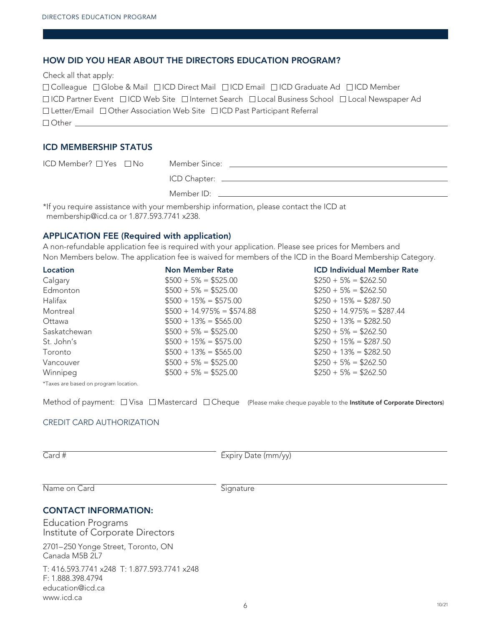#### HOW DID YOU HEAR ABOUT THE DIRECTORS EDUCATION PROGRAM?

| Check all that apply:                                                                                                      |
|----------------------------------------------------------------------------------------------------------------------------|
| □ Colleague □ Globe & Mail □ ICD Direct Mail □ ICD Email □ ICD Graduate Ad □ ICD Member                                    |
| $\Box$ ICD Partner Event $\Box$ ICD Web Site $\Box$ Internet Search $\Box$ Local Business School $\Box$ Local Newspaper Ad |
| $\Box$ Letter/Email $\Box$ Other Association Web Site $\Box$ ICD Past Participant Referral                                 |
| $\Box$ Other $\Box$                                                                                                        |

#### ICD MEMBERSHIP STATUS

| $ICD$ Member? $\Box$ Yes $\Box$ No |                                                                                        |
|------------------------------------|----------------------------------------------------------------------------------------|
|                                    |                                                                                        |
|                                    | $M$ ember ID:                                                                          |
|                                    | *If you require assistance with your membership information, please contact the ICD at |

membership@icd.ca or 1.877.593.7741 x238.

#### APPLICATION FEE (Required with application)

A non-refundable application fee is required with your application. Please see prices for Members and Non Members below. The application fee is waived for members of the ICD in the Board Membership Category.

| Location                              | <b>Non Member Rate</b>      | <b>ICD Individual Member Rate</b> |
|---------------------------------------|-----------------------------|-----------------------------------|
| Calgary                               | $$500 + 5\% = $525.00$      | $$250 + 5\% = $262.50$            |
| Edmonton                              | $$500 + 5\% = $525.00$      | $$250 + 5\% = $262.50$            |
| Halifax                               | $$500 + 15\% = $575.00$     | $$250 + 15\% = $287.50$           |
| Montreal                              | $$500 + 14.975\% = $574.88$ | $$250 + 14.975\% = $287.44$       |
| Ottawa                                | $$500 + 13\% = $565.00$     | $$250 + 13\% = $282.50$           |
| Saskatchewan                          | $$500 + 5\% = $525.00$      | $$250 + 5\% = $262.50$            |
| St. John's                            | $$500 + 15\% = $575.00$     | $$250 + 15\% = $287.50$           |
| Toronto                               | $$500 + 13\% = $565.00$     | $$250 + 13\% = $282.50$           |
| Vancouver                             | $$500 + 5\% = $525.00$      | $$250 + 5\% = $262.50$            |
| Winnipeg                              | $$500 + 5\% = $525.00$      | $$250 + 5\% = $262.50$            |
| *Taxes are based on program location. |                             |                                   |

Method of payment:  $\Box$  Visa  $\Box$  Mastercard  $\Box$  Cheque (Please make cheque payable to the Institute of Corporate Directors)

#### CREDIT CARD AUTHORIZATION

Card # Expiry Date (mm/yy)

Name on Card Signature

#### CONTACT INFORMATION:

Education Programs Institute of Corporate Directors

2701–250 Yonge Street, Toronto, ON Canada M5B 2L7

T: 416.593.7741 x248 T: 1.877.593.7741 x248 F: 1.888.398.4794 education@icd.ca www.icd.ca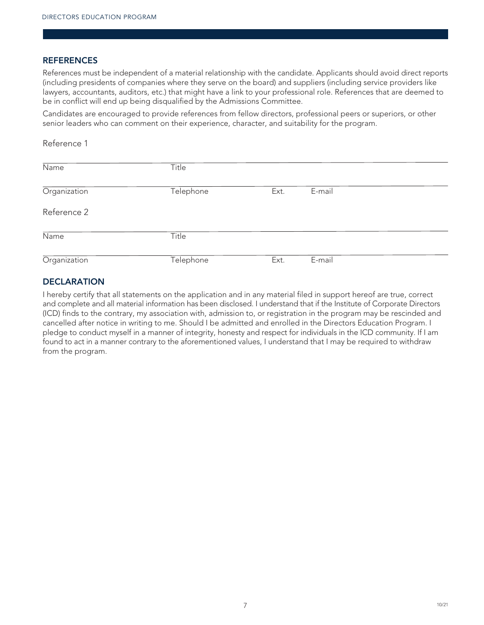#### **REFERENCES**

References must be independent of a material relationship with the candidate. Applicants should avoid direct reports (including presidents of companies where they serve on the board) and suppliers (including service providers like lawyers, accountants, auditors, etc.) that might have a link to your professional role. References that are deemed to be in conflict will end up being disqualified by the Admissions Committee.

Candidates are encouraged to provide references from fellow directors, professional peers or superiors, or other senior leaders who can comment on their experience, character, and suitability for the program.

Reference 1

| Name         | Title     |      |        |
|--------------|-----------|------|--------|
| Organization | Telephone | Ext. | E-mail |
| Reference 2  |           |      |        |
| Name         | Title     |      |        |
| Organization | Telephone | Ext. | E-mail |

#### **DECLARATION**

I hereby certify that all statements on the application and in any material filed in support hereof are true, correct and complete and all material information has been disclosed. I understand that if the Institute of Corporate Directors (ICD) finds to the contrary, my association with, admission to, or registration in the program may be rescinded and cancelled after notice in writing to me. Should I be admitted and enrolled in the Directors Education Program. I pledge to conduct myself in a manner of integrity, honesty and respect for individuals in the ICD community. If I am found to act in a manner contrary to the aforementioned values, I understand that I may be required to withdraw from the program.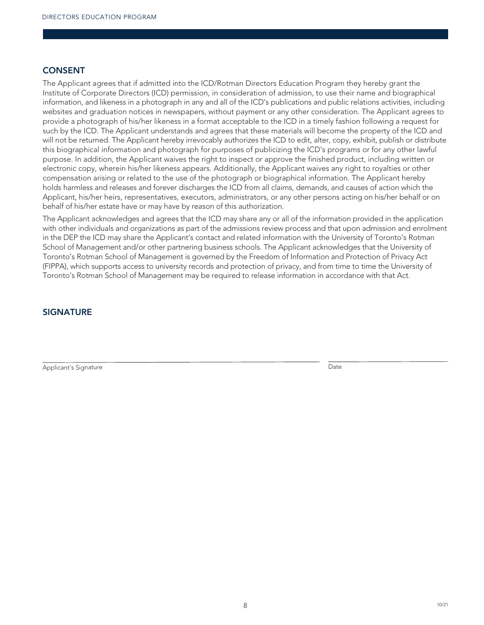#### CONSENT

The Applicant agrees that if admitted into the ICD/Rotman Directors Education Program they hereby grant the Institute of Corporate Directors (ICD) permission, in consideration of admission, to use their name and biographical information, and likeness in a photograph in any and all of the ICD's publications and public relations activities, including websites and graduation notices in newspapers, without payment or any other consideration. The Applicant agrees to provide a photograph of his/her likeness in a format acceptable to the ICD in a timely fashion following a request for such by the ICD. The Applicant understands and agrees that these materials will become the property of the ICD and will not be returned. The Applicant hereby irrevocably authorizes the ICD to edit, alter, copy, exhibit, publish or distribute this biographical information and photograph for purposes of publicizing the ICD's programs or for any other lawful purpose. In addition, the Applicant waives the right to inspect or approve the finished product, including written or electronic copy, wherein his/her likeness appears. Additionally, the Applicant waives any right to royalties or other compensation arising or related to the use of the photograph or biographical information. The Applicant hereby holds harmless and releases and forever discharges the ICD from all claims, demands, and causes of action which the Applicant, his/her heirs, representatives, executors, administrators, or any other persons acting on his/her behalf or on behalf of his/her estate have or may have by reason of this authorization.

The Applicant acknowledges and agrees that the ICD may share any or all of the information provided in the application with other individuals and organizations as part of the admissions review process and that upon admission and enrolment in the DEP the ICD may share the Applicant's contact and related information with the University of Toronto's Rotman School of Management and/or other partnering business schools. The Applicant acknowledges that the University of Toronto's Rotman School of Management is governed by the Freedom of Information and Protection of Privacy Act (FIPPA), which supports access to university records and protection of privacy, and from time to time the University of Toronto's Rotman School of Management may be required to release information in accordance with that Act.

#### **SIGNATURE**

Applicant's Signature Date **Date of the United States** Contract of Date Date Date Date **Date Only and Date Only and Date**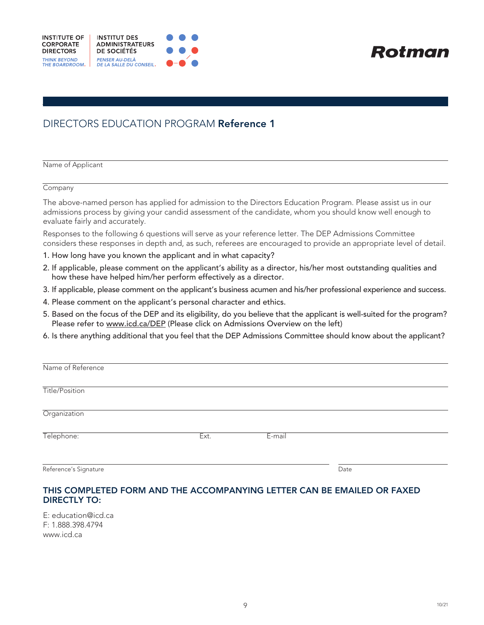

**Rotman** 

# DIRECTORS EDUCATION PROGRAM Reference 1

Name of Applicant

**Company** 

The above-named person has applied for admission to the Directors Education Program. Please assist us in our admissions process by giving your candid assessment of the candidate, whom you should know well enough to evaluate fairly and accurately.

Responses to the following 6 questions will serve as your reference letter. The DEP Admissions Committee considers these responses in depth and, as such, referees are encouraged to provide an appropriate level of detail.

- 1. How long have you known the applicant and in what capacity?
- 2. If applicable, please comment on the applicant's ability as a director, his/her most outstanding qualities and how these have helped him/her perform effectively as a director.
- 3. If applicable, please comment on the applicant's business acumen and his/her professional experience and success.
- 4. Please comment on the applicant's personal character and ethics.
- 5. Based on the focus of the DEP and its eligibility, do you believe that the applicant is well-suited for the program? Please refer to www.icd.ca/DEP (Please click on Admissions Overview on the left)
- 6. Is there anything additional that you feel that the DEP Admissions Committee should know about the applicant?

| Name of Reference     |      |        |      |  |
|-----------------------|------|--------|------|--|
| Title/Position        |      |        |      |  |
| Organization          |      |        |      |  |
| Telephone:            | Ext. | E-mail |      |  |
| Reference's Signature |      |        | Date |  |

#### THIS COMPLETED FORM AND THE ACCOMPANYING LETTER CAN BE EMAILED OR FAXED DIRECTLY TO:

E: education@icd.ca F: 1.888.398.4794 www.icd.ca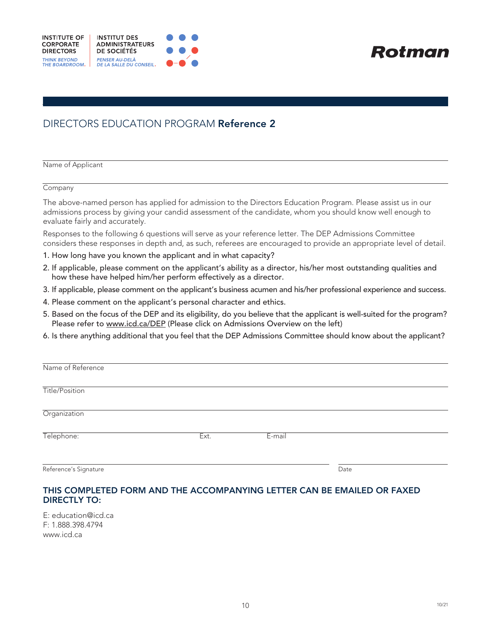

**Rotman** 

# DIRECTORS EDUCATION PROGRAM Reference 2

Name of Applicant

**Company** 

The above-named person has applied for admission to the Directors Education Program. Please assist us in our admissions process by giving your candid assessment of the candidate, whom you should know well enough to evaluate fairly and accurately.

Responses to the following 6 questions will serve as your reference letter. The DEP Admissions Committee considers these responses in depth and, as such, referees are encouraged to provide an appropriate level of detail.

- 1. How long have you known the applicant and in what capacity?
- 2. If applicable, please comment on the applicant's ability as a director, his/her most outstanding qualities and how these have helped him/her perform effectively as a director.
- 3. If applicable, please comment on the applicant's business acumen and his/her professional experience and success.
- 4. Please comment on the applicant's personal character and ethics.
- 5. Based on the focus of the DEP and its eligibility, do you believe that the applicant is well-suited for the program? Please refer to www.icd.ca/DEP (Please click on Admissions Overview on the left)
- 6. Is there anything additional that you feel that the DEP Admissions Committee should know about the applicant?

| Name of Reference     |      |        |      |  |
|-----------------------|------|--------|------|--|
| Title/Position        |      |        |      |  |
| Organization          |      |        |      |  |
| Telephone:            | Ext. | E-mail |      |  |
| Reference's Signature |      |        | Date |  |

#### THIS COMPLETED FORM AND THE ACCOMPANYING LETTER CAN BE EMAILED OR FAXED DIRECTLY TO:

E: education@icd.ca F: 1.888.398.4794 www.icd.ca